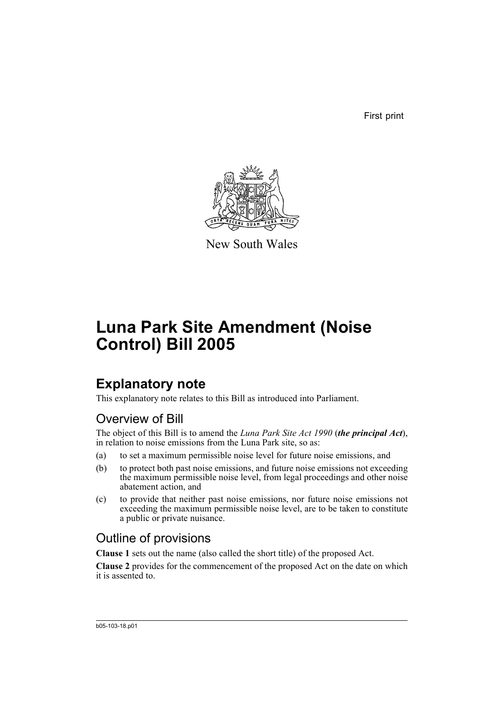First print



New South Wales

# **Luna Park Site Amendment (Noise Control) Bill 2005**

# **Explanatory note**

This explanatory note relates to this Bill as introduced into Parliament.

## Overview of Bill

The object of this Bill is to amend the *Luna Park Site Act 1990* (*the principal Act*), in relation to noise emissions from the Luna Park site, so as:

- (a) to set a maximum permissible noise level for future noise emissions, and
- (b) to protect both past noise emissions, and future noise emissions not exceeding the maximum permissible noise level, from legal proceedings and other noise abatement action, and
- (c) to provide that neither past noise emissions, nor future noise emissions not exceeding the maximum permissible noise level, are to be taken to constitute a public or private nuisance.

## Outline of provisions

**Clause 1** sets out the name (also called the short title) of the proposed Act.

**Clause 2** provides for the commencement of the proposed Act on the date on which it is assented to.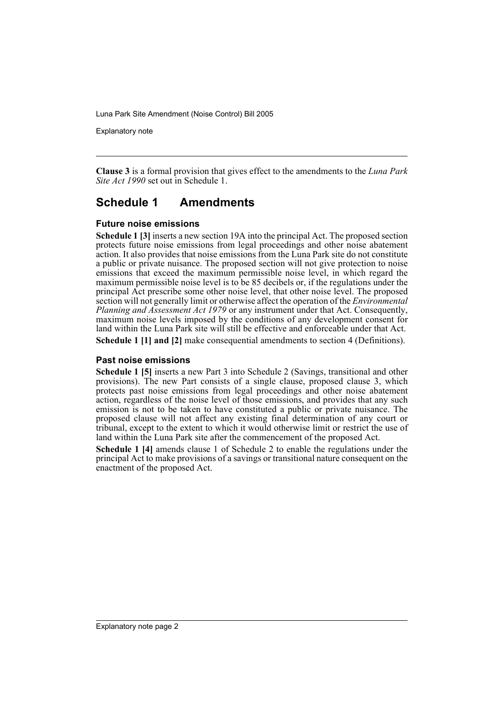Explanatory note

**Clause 3** is a formal provision that gives effect to the amendments to the *Luna Park Site Act 1990* set out in Schedule 1.

### **Schedule 1 Amendments**

#### **Future noise emissions**

**Schedule 1 [3]** inserts a new section 19A into the principal Act. The proposed section protects future noise emissions from legal proceedings and other noise abatement action. It also provides that noise emissions from the Luna Park site do not constitute a public or private nuisance. The proposed section will not give protection to noise emissions that exceed the maximum permissible noise level, in which regard the maximum permissible noise level is to be 85 decibels or, if the regulations under the principal Act prescribe some other noise level, that other noise level. The proposed section will not generally limit or otherwise affect the operation of the *Environmental Planning and Assessment Act 1979* or any instrument under that Act. Consequently, maximum noise levels imposed by the conditions of any development consent for land within the Luna Park site will still be effective and enforceable under that Act. **Schedule 1 [1] and [2]** make consequential amendments to section 4 (Definitions).

#### **Past noise emissions**

**Schedule 1 [5]** inserts a new Part 3 into Schedule 2 (Savings, transitional and other provisions). The new Part consists of a single clause, proposed clause 3, which protects past noise emissions from legal proceedings and other noise abatement action, regardless of the noise level of those emissions, and provides that any such emission is not to be taken to have constituted a public or private nuisance. The proposed clause will not affect any existing final determination of any court or tribunal, except to the extent to which it would otherwise limit or restrict the use of land within the Luna Park site after the commencement of the proposed Act.

**Schedule 1 [4]** amends clause 1 of Schedule 2 to enable the regulations under the principal Act to make provisions of a savings or transitional nature consequent on the enactment of the proposed Act.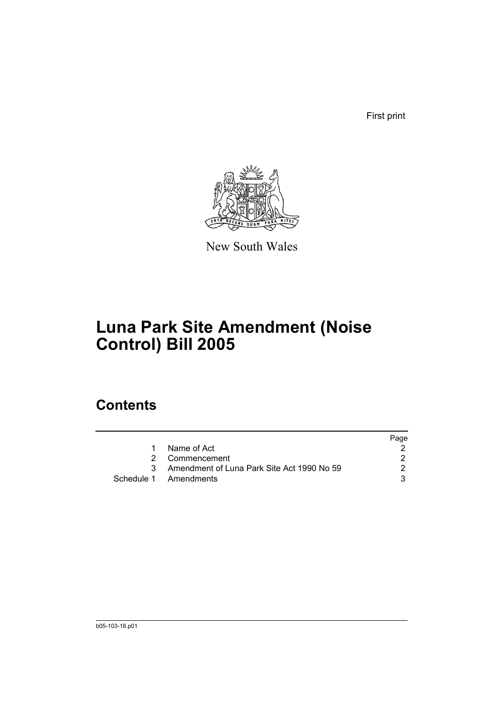First print



New South Wales

# **Luna Park Site Amendment (Noise Control) Bill 2005**

## **Contents**

|    |                                            | Page |
|----|--------------------------------------------|------|
| 1. | Name of Act                                |      |
|    | 2 Commencement                             |      |
| 3. | Amendment of Luna Park Site Act 1990 No 59 |      |
|    | Schedule 1 Amendments                      |      |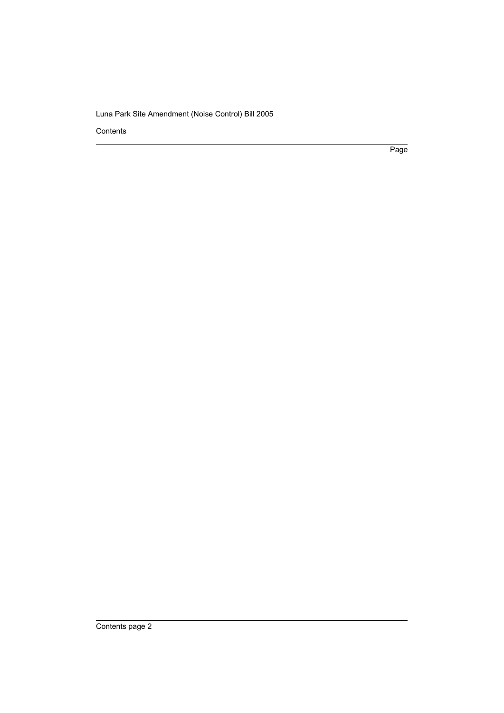Contents

Page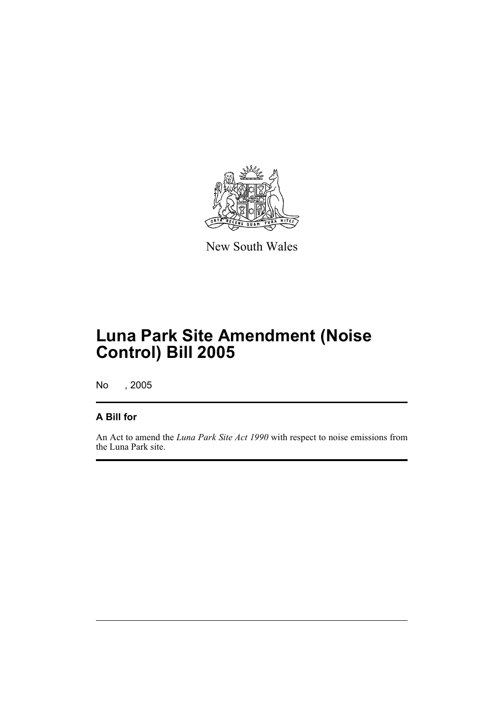

New South Wales

# **Luna Park Site Amendment (Noise Control) Bill 2005**

No , 2005

### **A Bill for**

An Act to amend the *Luna Park Site Act 1990* with respect to noise emissions from the Luna Park site.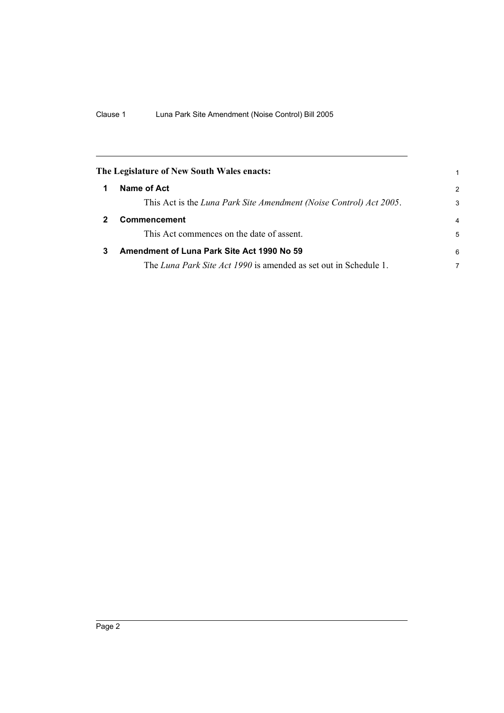<span id="page-5-2"></span><span id="page-5-1"></span><span id="page-5-0"></span>

| The Legislature of New South Wales enacts: |                                                                    |                |
|--------------------------------------------|--------------------------------------------------------------------|----------------|
| 1                                          | Name of Act                                                        | 2              |
|                                            | This Act is the Luna Park Site Amendment (Noise Control) Act 2005. | 3              |
|                                            | <b>Commencement</b>                                                | $\overline{4}$ |
|                                            | This Act commences on the date of assent.                          | 5              |
| 3                                          | Amendment of Luna Park Site Act 1990 No 59                         | 6              |
|                                            | The Luna Park Site Act 1990 is amended as set out in Schedule 1.   |                |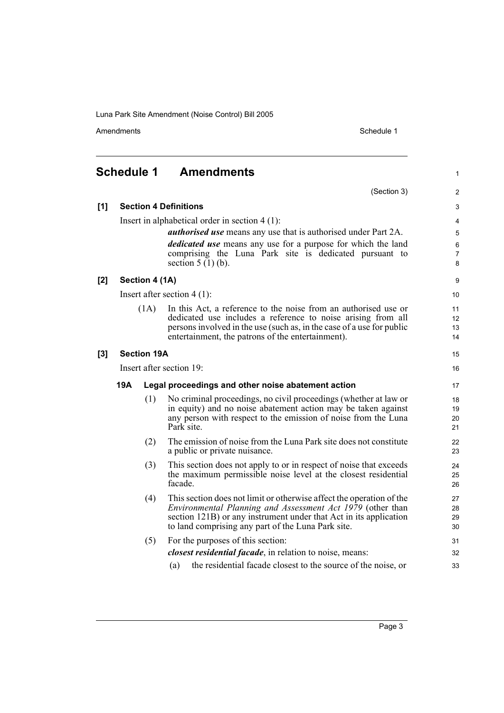Amendments **Amendments** Schedule 1

1

15 16

### <span id="page-6-0"></span>**Schedule 1 Amendments** (Section 3) **[1] Section 4 Definitions** Insert in alphabetical order in section 4 (1): *authorised use* means any use that is authorised under Part 2A. *dedicated use* means any use for a purpose for which the land comprising the Luna Park site is dedicated pursuant to section  $5(1)(b)$ . **[2] Section 4 (1A)** Insert after section 4 (1): (1A) In this Act, a reference to the noise from an authorised use or dedicated use includes a reference to noise arising from all persons involved in the use (such as, in the case of a use for public entertainment, the patrons of the entertainment). **[3] Section 19A** Insert after section 19: **19A Legal proceedings and other noise abatement action** (1) No criminal proceedings, no civil proceedings (whether at law or in equity) and no noise abatement action may be taken against any person with respect to the emission of noise from the Luna Park site. (2) The emission of noise from the Luna Park site does not constitute a public or private nuisance. (3) This section does not apply to or in respect of noise that exceeds the maximum permissible noise level at the closest residential facade. (4) This section does not limit or otherwise affect the operation of the *Environmental Planning and Assessment Act 1979* (other than section 121B) or any instrument under that Act in its application to land comprising any part of the Luna Park site. (5) For the purposes of this section: *closest residential facade*, in relation to noise, means:

(a) the residential facade closest to the source of the noise, or

#### Page 3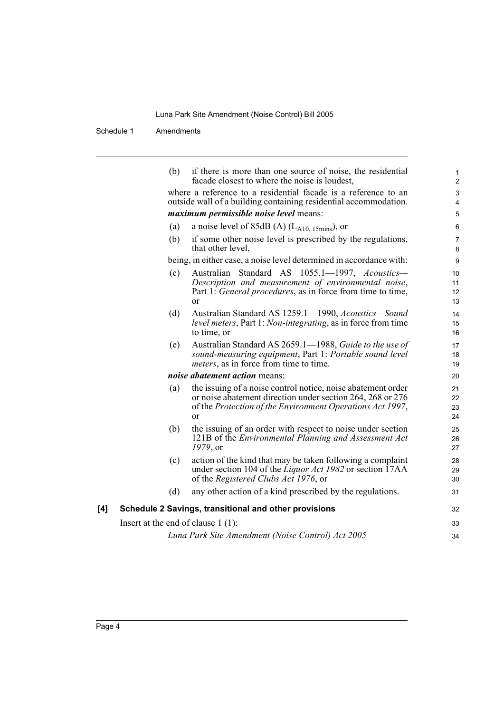#### Schedule 1 Amendments

|     | (b)                                  | if there is more than one source of noise, the residential<br>facade closest to where the noise is loudest,                                                                                              | 1<br>$\overline{2}$  |
|-----|--------------------------------------|----------------------------------------------------------------------------------------------------------------------------------------------------------------------------------------------------------|----------------------|
|     |                                      | where a reference to a residential facade is a reference to an<br>outside wall of a building containing residential accommodation.                                                                       | 3<br>4               |
|     |                                      | maximum permissible noise level means:                                                                                                                                                                   | 5                    |
|     | (a)                                  | a noise level of 85dB (A) $(L_{A10.15 \text{mins}})$ , or                                                                                                                                                | 6                    |
|     | (b)                                  | if some other noise level is prescribed by the regulations,<br>that other level.                                                                                                                         | 7<br>8               |
|     |                                      | being, in either case, a noise level determined in accordance with:                                                                                                                                      | 9                    |
|     | (c)                                  | Australian Standard AS 1055.1-1997, Acoustics-<br>Description and measurement of environmental noise,<br>Part 1: <i>General procedures</i> , as in force from time to time,<br><sub>or</sub>             | 10<br>11<br>12<br>13 |
|     | (d)                                  | Australian Standard AS 1259.1-1990, Acoustics-Sound<br><i>level meters</i> , Part 1: <i>Non-integrating</i> , as in force from time<br>to time, or                                                       | 14<br>15<br>16       |
|     | (e)                                  | Australian Standard AS 2659.1-1988, Guide to the use of<br>sound-measuring equipment, Part 1: Portable sound level<br><i>meters</i> , as in force from time to time.                                     | 17<br>18<br>19       |
|     |                                      | noise abatement action means:                                                                                                                                                                            | 20                   |
|     | (a)                                  | the issuing of a noise control notice, noise abatement order<br>or noise abatement direction under section 264, 268 or 276<br>of the Protection of the Environment Operations Act 1997,<br><sub>or</sub> | 21<br>22<br>23<br>24 |
|     | (b)                                  | the issuing of an order with respect to noise under section<br>121B of the <i>Environmental Planning and Assessment Act</i><br>1979, or                                                                  | 25<br>26<br>27       |
|     | (c)                                  | action of the kind that may be taken following a complaint<br>under section 104 of the <i>Liquor Act 1982</i> or section 17AA<br>of the Registered Clubs Act 1976, or                                    | 28<br>29<br>30       |
|     | (d)                                  | any other action of a kind prescribed by the regulations.                                                                                                                                                | 31                   |
| [4] |                                      | Schedule 2 Savings, transitional and other provisions                                                                                                                                                    | 32                   |
|     | Insert at the end of clause $1(1)$ : |                                                                                                                                                                                                          | 33                   |
|     |                                      | Luna Park Site Amendment (Noise Control) Act 2005                                                                                                                                                        | 34                   |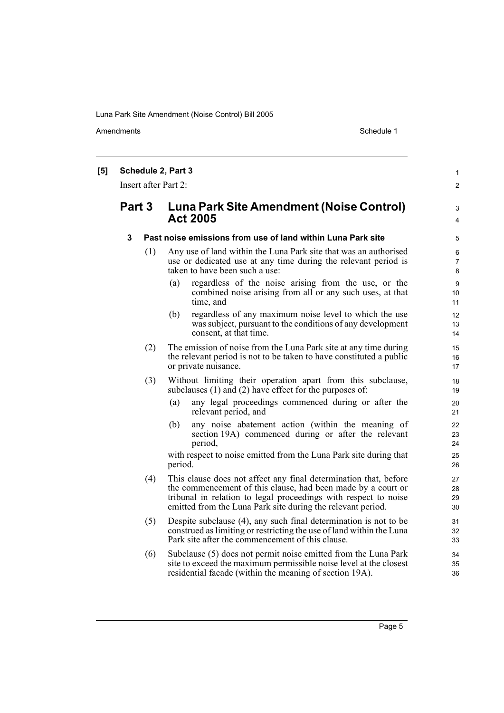Amendments Schedule 1

| [5] |        |     | Schedule 2, Part 3<br>Insert after Part 2:                                                                                                                                                                                                                         | $\mathbf{1}$<br>$\overline{2}$ |
|-----|--------|-----|--------------------------------------------------------------------------------------------------------------------------------------------------------------------------------------------------------------------------------------------------------------------|--------------------------------|
|     | Part 3 |     | <b>Luna Park Site Amendment (Noise Control)</b><br><b>Act 2005</b>                                                                                                                                                                                                 | 3<br>$\overline{4}$            |
|     | 3      |     | Past noise emissions from use of land within Luna Park site                                                                                                                                                                                                        | 5                              |
|     |        | (1) | Any use of land within the Luna Park site that was an authorised<br>use or dedicated use at any time during the relevant period is<br>taken to have been such a use:                                                                                               | 6<br>$\overline{7}$<br>8       |
|     |        |     | regardless of the noise arising from the use, or the<br>(a)<br>combined noise arising from all or any such uses, at that<br>time, and                                                                                                                              | 9<br>10<br>11                  |
|     |        |     | regardless of any maximum noise level to which the use<br>(b)<br>was subject, pursuant to the conditions of any development<br>consent, at that time.                                                                                                              | 12<br>13<br>14                 |
|     |        | (2) | The emission of noise from the Luna Park site at any time during<br>the relevant period is not to be taken to have constituted a public<br>or private nuisance.                                                                                                    | 15<br>16<br>17                 |
|     |        | (3) | Without limiting their operation apart from this subclause,<br>subclauses $(1)$ and $(2)$ have effect for the purposes of:                                                                                                                                         | 18<br>19                       |
|     |        |     | (a)<br>any legal proceedings commenced during or after the<br>relevant period, and                                                                                                                                                                                 | 20<br>21                       |
|     |        |     | (b)<br>any noise abatement action (within the meaning of<br>section 19A) commenced during or after the relevant<br>period,                                                                                                                                         | 22<br>23<br>24                 |
|     |        |     | with respect to noise emitted from the Luna Park site during that<br>period.                                                                                                                                                                                       | 25<br>26                       |
|     |        | (4) | This clause does not affect any final determination that, before<br>the commencement of this clause, had been made by a court or<br>tribunal in relation to legal proceedings with respect to noise<br>emitted from the Luna Park site during the relevant period. | 27<br>28<br>29<br>30           |
|     |        | (5) | Despite subclause (4), any such final determination is not to be<br>construed as limiting or restricting the use of land within the Luna<br>Park site after the commencement of this clause.                                                                       | 31<br>32<br>33                 |
|     |        | (6) | Subclause (5) does not permit noise emitted from the Luna Park<br>site to exceed the maximum permissible noise level at the closest<br>residential facade (within the meaning of section 19A).                                                                     | 34<br>35<br>36                 |
|     |        |     |                                                                                                                                                                                                                                                                    |                                |